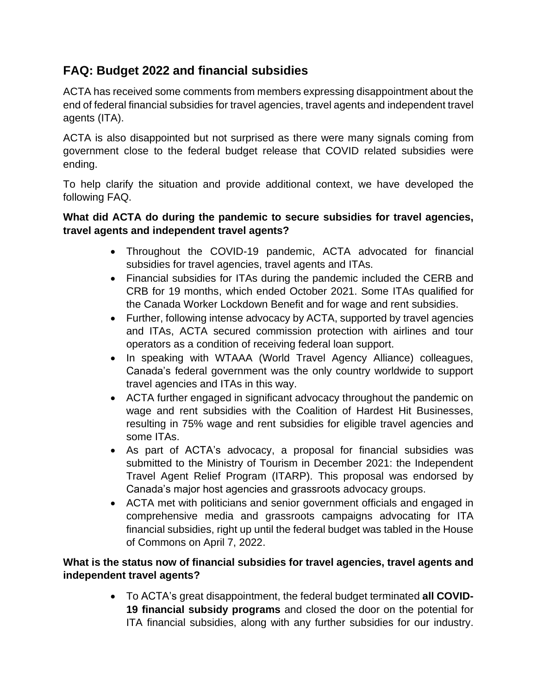# **FAQ: Budget 2022 and financial subsidies**

ACTA has received some comments from members expressing disappointment about the end of federal financial subsidies for travel agencies, travel agents and independent travel agents (ITA).

ACTA is also disappointed but not surprised as there were many signals coming from government close to the federal budget release that COVID related subsidies were ending.

To help clarify the situation and provide additional context, we have developed the following FAQ.

#### **What did ACTA do during the pandemic to secure subsidies for travel agencies, travel agents and independent travel agents?**

- Throughout the COVID-19 pandemic, ACTA advocated for financial subsidies for travel agencies, travel agents and ITAs.
- Financial subsidies for ITAs during the pandemic included the CERB and CRB for 19 months, which ended October 2021. Some ITAs qualified for the Canada Worker Lockdown Benefit and for wage and rent subsidies.
- Further, following intense advocacy by ACTA, supported by travel agencies and ITAs, ACTA secured commission protection with airlines and tour operators as a condition of receiving federal loan support.
- In speaking with WTAAA (World Travel Agency Alliance) colleagues, Canada's federal government was the only country worldwide to support travel agencies and ITAs in this way.
- ACTA further engaged in significant advocacy throughout the pandemic on wage and rent subsidies with the Coalition of Hardest Hit Businesses, resulting in 75% wage and rent subsidies for eligible travel agencies and some ITAs.
- As part of ACTA's advocacy, a proposal for financial subsidies was submitted to the Ministry of Tourism in December 2021: the Independent Travel Agent Relief Program (ITARP). This proposal was endorsed by Canada's major host agencies and grassroots advocacy groups.
- ACTA met with politicians and senior government officials and engaged in comprehensive media and grassroots campaigns advocating for ITA financial subsidies, right up until the federal budget was tabled in the House of Commons on April 7, 2022.

#### **What is the status now of financial subsidies for travel agencies, travel agents and independent travel agents?**

• To ACTA's great disappointment, the federal budget terminated **all COVID-19 financial subsidy programs** and closed the door on the potential for ITA financial subsidies, along with any further subsidies for our industry.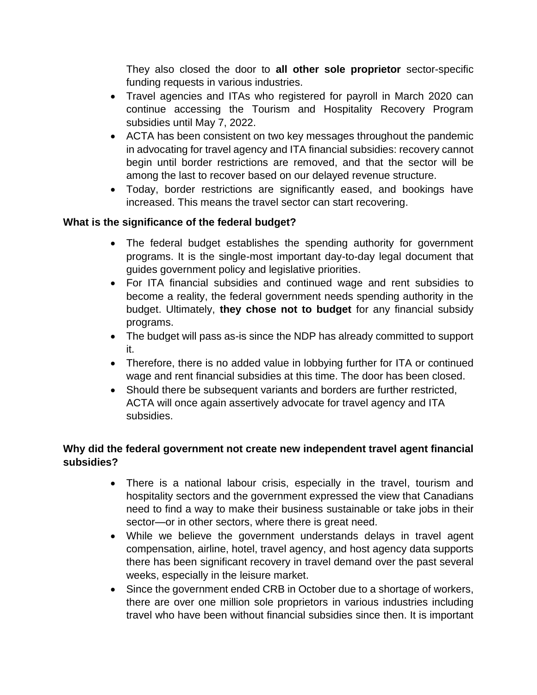They also closed the door to **all other sole proprietor** sector-specific funding requests in various industries.

- Travel agencies and ITAs who registered for payroll in March 2020 can continue accessing the Tourism and Hospitality Recovery Program subsidies until May 7, 2022.
- ACTA has been consistent on two key messages throughout the pandemic in advocating for travel agency and ITA financial subsidies: recovery cannot begin until border restrictions are removed, and that the sector will be among the last to recover based on our delayed revenue structure.
- Today, border restrictions are significantly eased, and bookings have increased. This means the travel sector can start recovering.

## **What is the significance of the federal budget?**

- The federal budget establishes the spending authority for government programs. It is the single-most important day-to-day legal document that guides government policy and legislative priorities.
- For ITA financial subsidies and continued wage and rent subsidies to become a reality, the federal government needs spending authority in the budget. Ultimately, **they chose not to budget** for any financial subsidy programs.
- The budget will pass as-is since the NDP has already committed to support it.
- Therefore, there is no added value in lobbying further for ITA or continued wage and rent financial subsidies at this time. The door has been closed.
- Should there be subsequent variants and borders are further restricted, ACTA will once again assertively advocate for travel agency and ITA subsidies.

## **Why did the federal government not create new independent travel agent financial subsidies?**

- There is a national labour crisis, especially in the travel, tourism and hospitality sectors and the government expressed the view that Canadians need to find a way to make their business sustainable or take jobs in their sector—or in other sectors, where there is great need.
- While we believe the government understands delays in travel agent compensation, airline, hotel, travel agency, and host agency data supports there has been significant recovery in travel demand over the past several weeks, especially in the leisure market.
- Since the government ended CRB in October due to a shortage of workers, there are over one million sole proprietors in various industries including travel who have been without financial subsidies since then. It is important